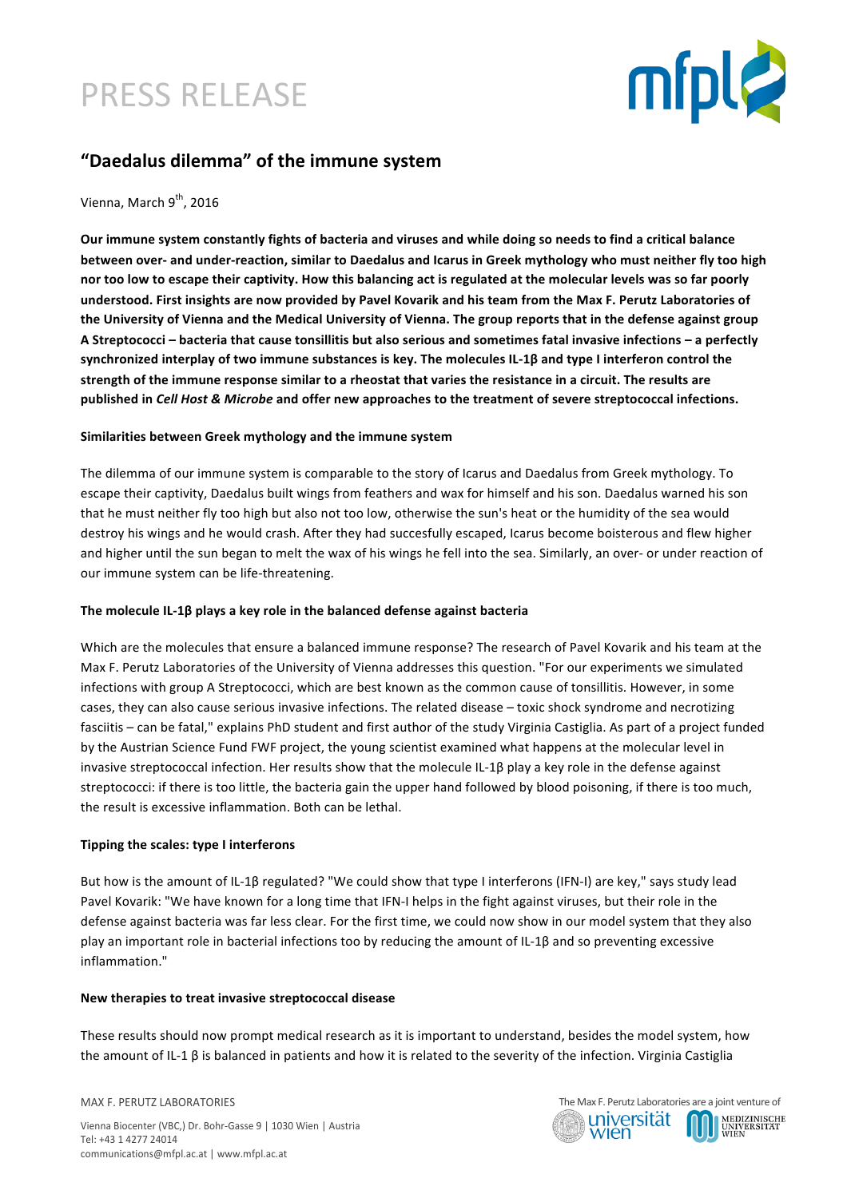## PRESS RELEASE



### **"Daedalus dilemma" of the immune system**

#### Vienna, March 9<sup>th</sup>, 2016

Our immune system constantly fights of bacteria and viruses and while doing so needs to find a critical balance **between over-** and under-reaction, similar to Daedalus and Icarus in Greek mythology who must neither fly too high nor too low to escape their captivity. How this balancing act is regulated at the molecular levels was so far poorly understood. First insights are now provided by Pavel Kovarik and his team from the Max F. Perutz Laboratories of the University of Vienna and the Medical University of Vienna. The group reports that in the defense against group A Streptococci – bacteria that cause tonsillitis but also serious and sometimes fatal invasive infections – a perfectly synchronized interplay of two immune substances is key. The molecules IL-1β and type I interferon control the strength of the immune response similar to a rheostat that varies the resistance in a circuit. The results are published in *Cell Host & Microbe* and offer new approaches to the treatment of severe streptococcal infections.

#### Similarities between Greek mythology and the immune system

The dilemma of our immune system is comparable to the story of Icarus and Daedalus from Greek mythology. To escape their captivity, Daedalus built wings from feathers and wax for himself and his son. Daedalus warned his son that he must neither fly too high but also not too low, otherwise the sun's heat or the humidity of the sea would destroy his wings and he would crash. After they had succesfully escaped, Icarus become boisterous and flew higher and higher until the sun began to melt the wax of his wings he fell into the sea. Similarly, an over- or under reaction of our immune system can be life-threatening.

#### The molecule IL-1β plays a key role in the balanced defense against bacteria

Which are the molecules that ensure a balanced immune response? The research of Pavel Kovarik and his team at the Max F. Perutz Laboratories of the University of Vienna addresses this question. "For our experiments we simulated infections with group A Streptococci, which are best known as the common cause of tonsillitis. However, in some cases, they can also cause serious invasive infections. The related disease - toxic shock syndrome and necrotizing fasciitis – can be fatal." explains PhD student and first author of the study Virginia Castiglia. As part of a project funded by the Austrian Science Fund FWF project, the young scientist examined what happens at the molecular level in invasive streptococcal infection. Her results show that the molecule IL-1 $\beta$  play a key role in the defense against streptococci: if there is too little, the bacteria gain the upper hand followed by blood poisoning, if there is too much, the result is excessive inflammation. Both can be lethal.

#### **Tipping the scales: type I interferons**

But how is the amount of IL-1B regulated? "We could show that type I interferons (IFN-I) are key," says study lead Pavel Kovarik: "We have known for a long time that IFN-I helps in the fight against viruses, but their role in the defense against bacteria was far less clear. For the first time, we could now show in our model system that they also play an important role in bacterial infections too by reducing the amount of IL-1β and so preventing excessive inflammation."

#### **New therapies to treat invasive streptococcal disease**

These results should now prompt medical research as it is important to understand, besides the model system, how the amount of IL-1 β is balanced in patients and how it is related to the severity of the infection. Virginia Castiglia

MAX F. PERUTZ LABORATORIES

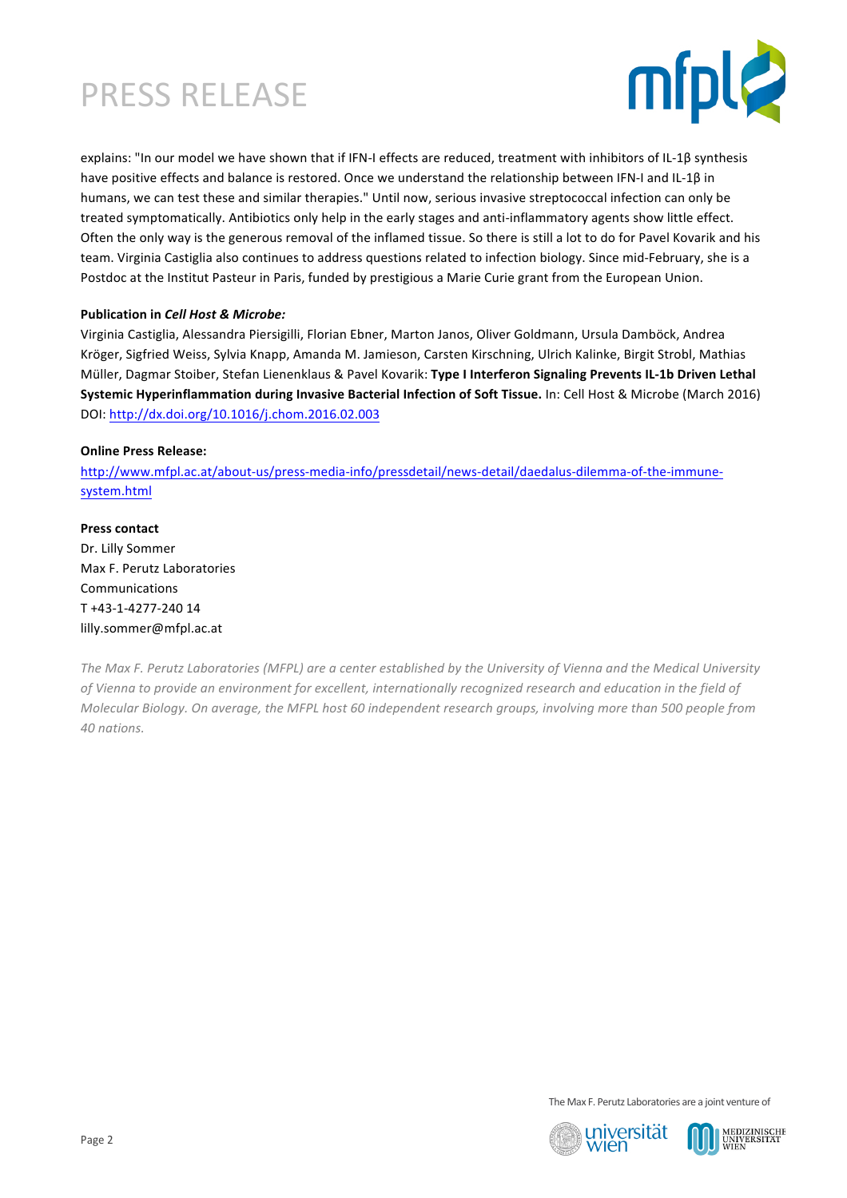# PRESS RELEASE



explains: "In our model we have shown that if IFN-I effects are reduced, treatment with inhibitors of IL-1β synthesis have positive effects and balance is restored. Once we understand the relationship between IFN-I and IL-1β in humans, we can test these and similar therapies." Until now, serious invasive streptococcal infection can only be treated symptomatically. Antibiotics only help in the early stages and anti-inflammatory agents show little effect. Often the only way is the generous removal of the inflamed tissue. So there is still a lot to do for Pavel Kovarik and his team. Virginia Castiglia also continues to address questions related to infection biology. Since mid-February, she is a Postdoc at the Institut Pasteur in Paris, funded by prestigious a Marie Curie grant from the European Union.

#### **Publication in Cell Host & Microbe:**

Virginia Castiglia, Alessandra Piersigilli, Florian Ebner, Marton Janos, Oliver Goldmann, Ursula Damböck, Andrea Kröger, Sigfried Weiss, Sylvia Knapp, Amanda M. Jamieson, Carsten Kirschning, Ulrich Kalinke, Birgit Strobl, Mathias Müller, Dagmar Stoiber, Stefan Lienenklaus & Pavel Kovarik: Type I Interferon Signaling Prevents IL-1b Driven Lethal **Systemic Hyperinflammation during Invasive Bacterial Infection of Soft Tissue.** In: Cell Host & Microbe (March 2016) DOI: http://dx.doi.org/10.1016/j.chom.2016.02.003

#### **Online Press Release:**

http://www.mfpl.ac.at/about-us/press-media-info/pressdetail/news-detail/daedalus-dilemma-of-the-immunesystem.html

#### **Press contact**

Dr. Lilly Sommer Max F. Perutz Laboratories Communications T +43-1-4277-240 14 lilly.sommer@mfpl.ac.at

The Max F. Perutz Laboratories (MFPL) are a center established by the University of Vienna and the Medical University of Vienna to provide an environment for excellent, internationally recognized research and education in the field of *Molecular Biology. On average, the MFPL host 60 independent research groups, involving more than 500 people from 40 nations.*

The Max F. Perutz Laboratories are a joint venture of